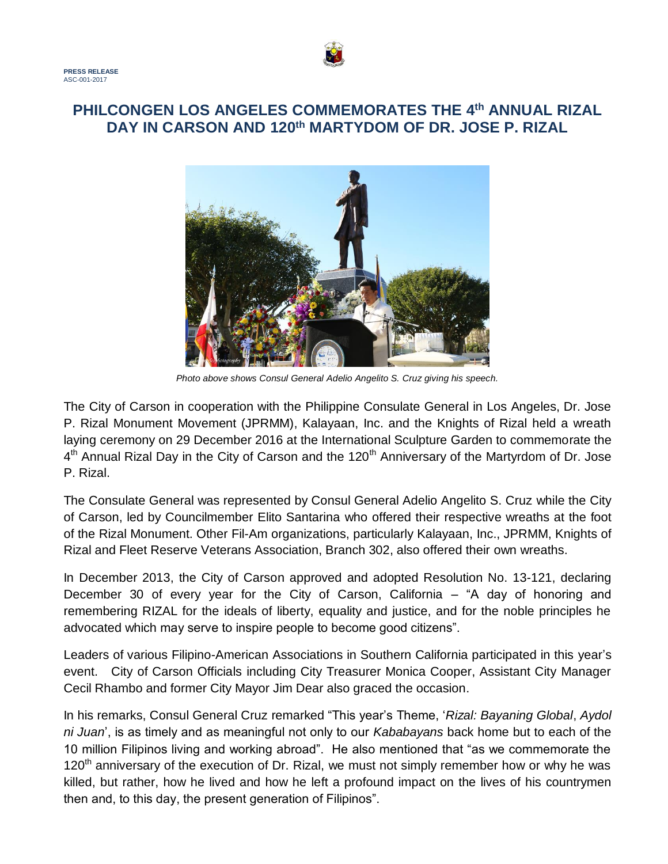

## **PHILCONGEN LOS ANGELES COMMEMORATES THE 4th ANNUAL RIZAL DAY IN CARSON AND 120th MARTYDOM OF DR. JOSE P. RIZAL**



*Photo above shows Consul General Adelio Angelito S. Cruz giving his speech.*

The City of Carson in cooperation with the Philippine Consulate General in Los Angeles, Dr. Jose P. Rizal Monument Movement (JPRMM), Kalayaan, Inc. and the Knights of Rizal held a wreath laying ceremony on 29 December 2016 at the International Sculpture Garden to commemorate the 4<sup>th</sup> Annual Rizal Day in the City of Carson and the 120<sup>th</sup> Anniversary of the Martyrdom of Dr. Jose P. Rizal.

The Consulate General was represented by Consul General Adelio Angelito S. Cruz while the City of Carson, led by Councilmember Elito Santarina who offered their respective wreaths at the foot of the Rizal Monument. Other Fil-Am organizations, particularly Kalayaan, Inc., JPRMM, Knights of Rizal and Fleet Reserve Veterans Association, Branch 302, also offered their own wreaths.

In December 2013, the City of Carson approved and adopted Resolution No. 13-121, declaring December 30 of every year for the City of Carson, California – "A day of honoring and remembering RIZAL for the ideals of liberty, equality and justice, and for the noble principles he advocated which may serve to inspire people to become good citizens".

Leaders of various Filipino-American Associations in Southern California participated in this year's event. City of Carson Officials including City Treasurer Monica Cooper, Assistant City Manager Cecil Rhambo and former City Mayor Jim Dear also graced the occasion.

In his remarks, Consul General Cruz remarked "This year's Theme, '*Rizal: Bayaning Global*, *Aydol ni Juan*', is as timely and as meaningful not only to our *Kababayans* back home but to each of the 10 million Filipinos living and working abroad". He also mentioned that "as we commemorate the  $120<sup>th</sup>$  anniversary of the execution of Dr. Rizal, we must not simply remember how or why he was killed, but rather, how he lived and how he left a profound impact on the lives of his countrymen then and, to this day, the present generation of Filipinos".